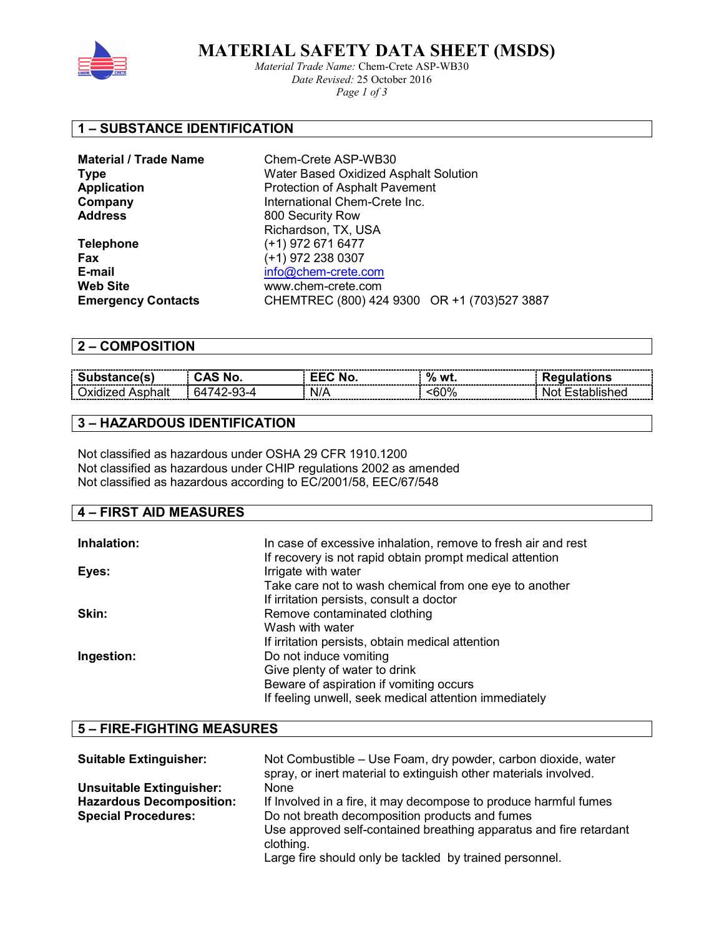

 **MATERIAL SAFETY DATA SHEET (MSDS)**

*Material Trade Name:* Chem-Crete ASP-WB30 *Date Revised:* 25 October 2016 *Page 1 of 3* 

## **1 – SUBSTANCE IDENTIFICATION**

| Chem-Crete ASP-WB30                          |  |
|----------------------------------------------|--|
| Water Based Oxidized Asphalt Solution        |  |
| <b>Protection of Asphalt Pavement</b>        |  |
| International Chem-Crete Inc.                |  |
| 800 Security Row                             |  |
| Richardson, TX, USA                          |  |
| (+1) 972 671 6477                            |  |
| (+1) 972 238 0307                            |  |
| info@chem-crete.com                          |  |
| www.chem-crete.com                           |  |
| CHEMTREC (800) 424 9300 OR +1 (703) 527 3887 |  |
|                                              |  |

### **2 – COMPOSITION**

| ------------<br>----<br>----------------<br>------<br>---------- | ---------------------------<br>-------<br>-------------------------------<br>-------------------- | ---------<br>o<br>wt.<br>70<br>________<br>--- | -------------------------------<br>----------<br>--<br>----------<br>----------------------------<br>- |
|------------------------------------------------------------------|---------------------------------------------------------------------------------------------------|------------------------------------------------|--------------------------------------------------------------------------------------------------------|
|                                                                  | ------------------------------<br>                                                                | --------------                                 | --------------------------------<br>-----------<br>---                                                 |

## **3 – HAZARDOUS IDENTIFICATION**

Not classified as hazardous under OSHA 29 CFR 1910.1200 Not classified as hazardous under CHIP regulations 2002 as amended Not classified as hazardous according to EC/2001/58, EEC/67/548

#### **4 – FIRST AID MEASURES**

| Inhalation: | In case of excessive inhalation, remove to fresh air and rest<br>If recovery is not rapid obtain prompt medical attention |
|-------------|---------------------------------------------------------------------------------------------------------------------------|
| Eyes:       | Irrigate with water                                                                                                       |
|             | Take care not to wash chemical from one eye to another                                                                    |
|             | If irritation persists, consult a doctor                                                                                  |
| Skin:       | Remove contaminated clothing                                                                                              |
|             | Wash with water                                                                                                           |
|             | If irritation persists, obtain medical attention                                                                          |
| Ingestion:  | Do not induce vomiting                                                                                                    |
|             | Give plenty of water to drink                                                                                             |
|             | Beware of aspiration if vomiting occurs                                                                                   |
|             | If feeling unwell, seek medical attention immediately                                                                     |

## **5 – FIRE-FIGHTING MEASURES**

| <b>Suitable Extinguisher:</b>   | Not Combustible – Use Foam, dry powder, carbon dioxide, water<br>spray, or inert material to extinguish other materials involved. |
|---------------------------------|-----------------------------------------------------------------------------------------------------------------------------------|
| <b>Unsuitable Extinguisher:</b> | <b>None</b>                                                                                                                       |
| <b>Hazardous Decomposition:</b> | If Involved in a fire, it may decompose to produce harmful fumes                                                                  |
| <b>Special Procedures:</b>      | Do not breath decomposition products and fumes                                                                                    |
|                                 | Use approved self-contained breathing apparatus and fire retardant                                                                |
|                                 | clothing.                                                                                                                         |
|                                 | Large fire should only be tackled by trained personnel.                                                                           |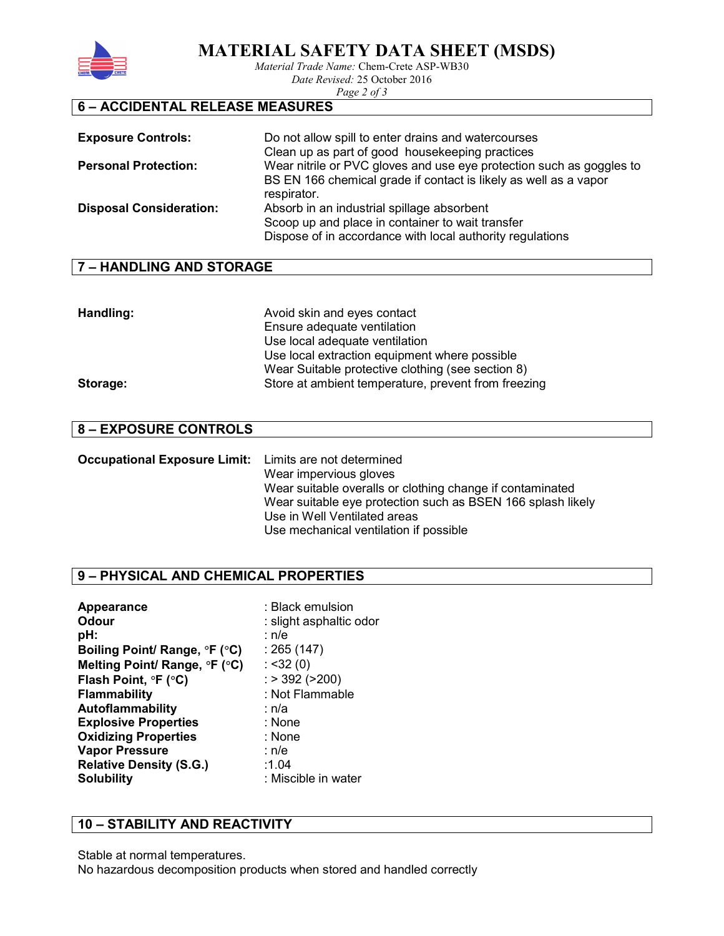

**MATERIAL SAFETY DATA SHEET (MSDS)** 

*Material Trade Name:* Chem-Crete ASP-WB30

*Date Revised:* 25 October 2016 *Page 2 of 3* 

# **6 – ACCIDENTAL RELEASE MEASURES**

| <b>Exposure Controls:</b>      | Do not allow spill to enter drains and watercourses<br>Clean up as part of good housekeeping practices                                                                     |
|--------------------------------|----------------------------------------------------------------------------------------------------------------------------------------------------------------------------|
| <b>Personal Protection:</b>    | Wear nitrile or PVC gloves and use eye protection such as goggles to<br>BS EN 166 chemical grade if contact is likely as well as a vapor                                   |
| <b>Disposal Consideration:</b> | respirator.<br>Absorb in an industrial spillage absorbent<br>Scoop up and place in container to wait transfer<br>Dispose of in accordance with local authority regulations |

## **7 – HANDLING AND STORAGE**

| Handling: | Avoid skin and eyes contact                         |
|-----------|-----------------------------------------------------|
|           | Ensure adequate ventilation                         |
|           | Use local adequate ventilation                      |
|           | Use local extraction equipment where possible       |
|           | Wear Suitable protective clothing (see section 8)   |
| Storage:  | Store at ambient temperature, prevent from freezing |

## **8 – EXPOSURE CONTROLS**

| <b>Occupational Exposure Limit:</b> Limits are not determined |                                                             |
|---------------------------------------------------------------|-------------------------------------------------------------|
|                                                               | Wear impervious gloves                                      |
|                                                               | Wear suitable overalls or clothing change if contaminated   |
|                                                               | Wear suitable eye protection such as BSEN 166 splash likely |
|                                                               | Use in Well Ventilated areas                                |
|                                                               | Use mechanical ventilation if possible                      |

## **9 – PHYSICAL AND CHEMICAL PROPERTIES**

| Appearance                     | : Black emulsion        |
|--------------------------------|-------------------------|
| <b>Odour</b>                   | : slight asphaltic odor |
| pH:                            | : n/e                   |
| Boiling Point/ Range, °F (°C)  | : 265(147)              |
| Melting Point/ Range, °F (°C)  | : < 32(0)               |
| Flash Point, °F (°C)           | $:$ > 392 (>200)        |
| <b>Flammability</b>            | : Not Flammable         |
| Autoflammability               | ∶ n/a                   |
| <b>Explosive Properties</b>    | : None                  |
| <b>Oxidizing Properties</b>    | : None                  |
| <b>Vapor Pressure</b>          | ∶ n/e                   |
| <b>Relative Density (S.G.)</b> | :1.04                   |
| <b>Solubility</b>              | : Miscible in water     |

# **10 – STABILITY AND REACTIVITY**

Stable at normal temperatures. No hazardous decomposition products when stored and handled correctly